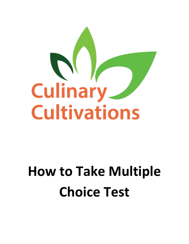

# **How to Take Multiple Choice Test**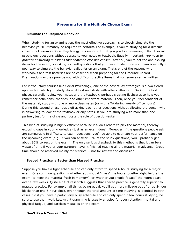# **Preparing for the Multiple Choice Exam**

#### **Simulate the Required Behavior**

When studying for an examination, the most effective approach is to closely simulate the behavior you'll ultimately be required to perform. For example, if you're studying for a difficult closed-book exam in Social Psychology, it's important that you practice answering difficult social psychology questions without access to your notes or textbook. Equally important, *you need to practice answering questions that someone else has chosen.* After all, you're not the one picking items for the exam, so asking yourself questions that you have made up on your own is usually a poor way to simulate the behavior called for on an exam. That's one of the reasons why workbooks and test batteries are so essential when preparing for the Graduate Record Examinations -- they provide you with difficult practice items that someone else has written.

For introductory courses like Social Psychology, one of the best study strategies is a two-tiered approach in which you study alone at first and study with others afterward. During the first phase, carefully review your notes and the textbook, perhaps creating flashcards to help you remember definitions, theories, and other important material. Then, once you feel confident of the material, study with one or more classmates (or with a TA during weekly office hours). During this second phase, trade off asking each other questions without allowing the person who is answering to look at the textbook or any notes. If you are studying with more than one partner, just form a circle and rotate the role of question-asker.

This kind of studying is highly efficient because it allows others to pick the material, thereby exposing gaps in your knowledge (just as an exam does). Moreover, if the questions people ask are comparable in difficulty to exam questions, you'll be able to estimate your performance on the upcoming exam (e.g., if you can answer 80% of the study questions, you'll probably get about 80% correct on the exam). The only serious drawback to this method is that it can be a waste of time if you or your partners haven't finished reading all the material in advance. Group time should be reserved mainly for *practice* -- not for review and discussion.

# **Spaced Practice is Better than Massed Practice**

Suppose you have a tight schedule and can only afford to spend 6 hours studying for a major exam. One common question is whether you should "mass" the hours together right before the exam (to keep the material fresh in memory), or whether you should "space" the hours apart over a few weeks. Quite a bit of research suggests that spaced practice is generally superior to massed practice. For example, all things being equal, you'll get more mileage out of three 2-hour blocks than one 6-hour block, even though the total amount of time studying is identical in both cases. So if you have a particularly busy schedule and can only spend a few hours studying, be sure to use them well. Late-night cramming is usually a recipe for poor retention, mental and physical fatigue, and careless mistakes on the exam.

# **Don't Psych Yourself Out**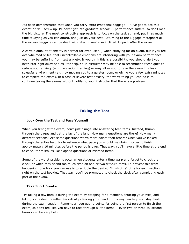It's been demonstrated that when you carry extra emotional baggage -- "I've got to ace this exam" or "If I screw up, I'll never get into graduate school" -- performance suffers, so don't lose the big picture. The most constructive approach is to focus on the task at hand, put in as much time studying as you can afford, and just do your best. Returning to the luggage metaphor: all the excess baggage can be dealt with later, if you're so inclined. Unpack *after* the exam.

A certain amount of anxiety is normal (or even useful) when studying for an exam, but if you feel overwhelmed or feel that uncontrollable emotions are interfering with your exam performance, you may be suffering from test anxiety. If you think this is a possibility, you should alert your instructor right away and ask for help. Your instructor may be able to recommend techniques to reduce your anxiety (e.g., relaxation training) or may allow you to take the exam in a less stressful environment (e.g., by moving you to a quieter room, or giving you a few extra minutes to complete the exam). In a case of severe test anxiety, the worst thing you can do is to continue taking the exams without notifying your instructor that there is a problem.

# **Taking the Test**

#### **Look Over the Test and Pace Yourself**

When you first get the exam, don't just plunge into answering test items. Instead, thumb through the pages and get the lay of the land. How many questions are there? How many different sections? Are some questions worth more points than others? Once you've looked through the entire test, try to estimate what pace you should maintain in order to finish approximately 10 minutes before the period is over. That way, you'll have a little time at the end to check for mistakes like skipped questions or misread items.

Some of the worst problems occur when students enter a time warp and forget to check the clock, or when they spend too much time on one or two difficult items. To prevent this from happening, one trick you can use is to scribble the desired "finish time" time for each section right on the test booklet. That way, you'll be prompted to check the clock after completing each part of the exam.

#### **Take Short Breaks**

Try taking a few breaks during the exam by stopping for a moment, shutting your eyes, and taking some deep breaths. Periodically clearing your head in this way can help you stay fresh during the exam session. Remember, you get no points for being the first person to finish the exam, so don't feel like you have to race through all the items -- even two or three 30-second breaks can be very helpful.